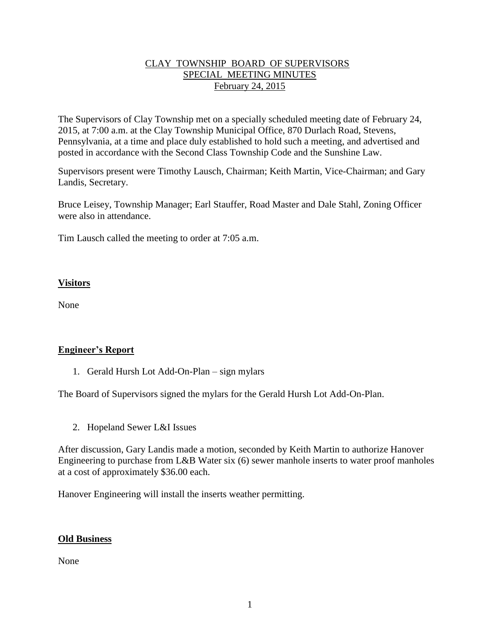## CLAY TOWNSHIP BOARD OF SUPERVISORS SPECIAL MEETING MINUTES February 24, 2015

The Supervisors of Clay Township met on a specially scheduled meeting date of February 24, 2015, at 7:00 a.m. at the Clay Township Municipal Office, 870 Durlach Road, Stevens, Pennsylvania, at a time and place duly established to hold such a meeting, and advertised and posted in accordance with the Second Class Township Code and the Sunshine Law.

Supervisors present were Timothy Lausch, Chairman; Keith Martin, Vice-Chairman; and Gary Landis, Secretary.

Bruce Leisey, Township Manager; Earl Stauffer, Road Master and Dale Stahl, Zoning Officer were also in attendance.

Tim Lausch called the meeting to order at 7:05 a.m.

## **Visitors**

None

## **Engineer's Report**

1. Gerald Hursh Lot Add-On-Plan – sign mylars

The Board of Supervisors signed the mylars for the Gerald Hursh Lot Add-On-Plan.

2. Hopeland Sewer L&I Issues

After discussion, Gary Landis made a motion, seconded by Keith Martin to authorize Hanover Engineering to purchase from L&B Water six (6) sewer manhole inserts to water proof manholes at a cost of approximately \$36.00 each.

Hanover Engineering will install the inserts weather permitting.

## **Old Business**

None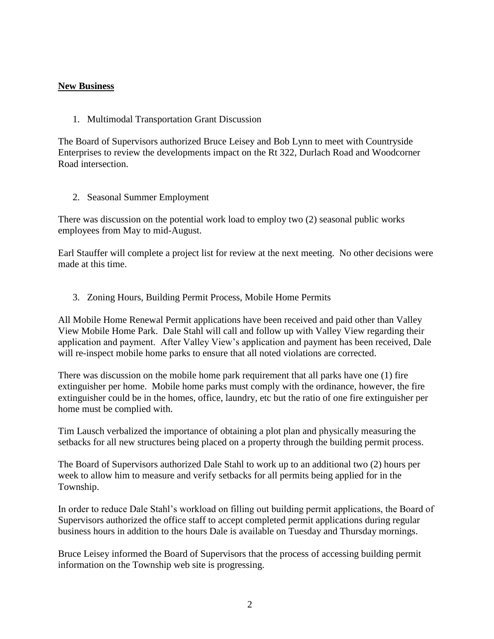#### **New Business**

1. Multimodal Transportation Grant Discussion

The Board of Supervisors authorized Bruce Leisey and Bob Lynn to meet with Countryside Enterprises to review the developments impact on the Rt 322, Durlach Road and Woodcorner Road intersection.

2. Seasonal Summer Employment

There was discussion on the potential work load to employ two (2) seasonal public works employees from May to mid-August.

Earl Stauffer will complete a project list for review at the next meeting. No other decisions were made at this time.

3. Zoning Hours, Building Permit Process, Mobile Home Permits

All Mobile Home Renewal Permit applications have been received and paid other than Valley View Mobile Home Park. Dale Stahl will call and follow up with Valley View regarding their application and payment. After Valley View's application and payment has been received, Dale will re-inspect mobile home parks to ensure that all noted violations are corrected.

There was discussion on the mobile home park requirement that all parks have one (1) fire extinguisher per home. Mobile home parks must comply with the ordinance, however, the fire extinguisher could be in the homes, office, laundry, etc but the ratio of one fire extinguisher per home must be complied with.

Tim Lausch verbalized the importance of obtaining a plot plan and physically measuring the setbacks for all new structures being placed on a property through the building permit process.

The Board of Supervisors authorized Dale Stahl to work up to an additional two (2) hours per week to allow him to measure and verify setbacks for all permits being applied for in the Township.

In order to reduce Dale Stahl's workload on filling out building permit applications, the Board of Supervisors authorized the office staff to accept completed permit applications during regular business hours in addition to the hours Dale is available on Tuesday and Thursday mornings.

Bruce Leisey informed the Board of Supervisors that the process of accessing building permit information on the Township web site is progressing.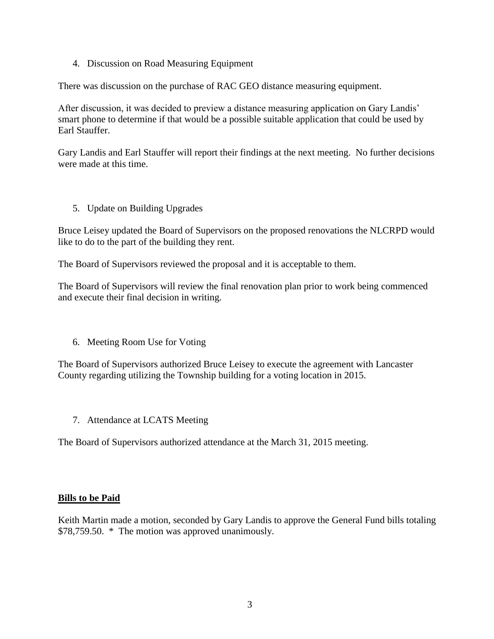4. Discussion on Road Measuring Equipment

There was discussion on the purchase of RAC GEO distance measuring equipment.

After discussion, it was decided to preview a distance measuring application on Gary Landis' smart phone to determine if that would be a possible suitable application that could be used by Earl Stauffer.

Gary Landis and Earl Stauffer will report their findings at the next meeting. No further decisions were made at this time.

5. Update on Building Upgrades

Bruce Leisey updated the Board of Supervisors on the proposed renovations the NLCRPD would like to do to the part of the building they rent.

The Board of Supervisors reviewed the proposal and it is acceptable to them.

The Board of Supervisors will review the final renovation plan prior to work being commenced and execute their final decision in writing.

6. Meeting Room Use for Voting

The Board of Supervisors authorized Bruce Leisey to execute the agreement with Lancaster County regarding utilizing the Township building for a voting location in 2015.

7. Attendance at LCATS Meeting

The Board of Supervisors authorized attendance at the March 31, 2015 meeting.

#### **Bills to be Paid**

Keith Martin made a motion, seconded by Gary Landis to approve the General Fund bills totaling \$78,759.50. \* The motion was approved unanimously.